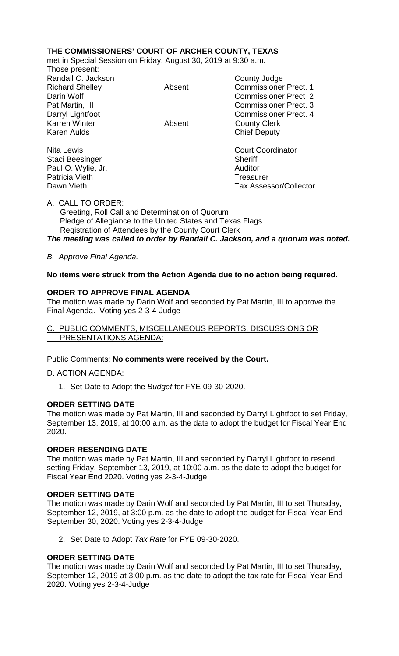# **THE COMMISSIONERS' COURT OF ARCHER COUNTY, TEXAS**

met in Special Session on Friday, August 30, 2019 at 9:30 a.m.

Those present: Randall C. Jackson County Judge Karren Winter **Absent** Absent County Clerk<br>
Karen Aulds<br>
Chief Deputy

Staci Beesinger Sheriff Paul O. Wylie, Jr. **Auditor Paul O. Wylie, Jr. Auditor** Patricia Vieth **Treasurer** Treasurer

Richard Shelley **Absent** Commissioner Prect. 1 Darin Wolf Commissioner Prect 2 Pat Martin, III Commissioner Prect. 3 Darryl Lightfoot **Commissioner Prect. 4 Chief Deputy** 

Nita Lewis **Nita Lewis** Court Coordinator Dawn Vieth Tax Assessor/Collector

### A. CALL TO ORDER:

 Greeting, Roll Call and Determination of Quorum Pledge of Allegiance to the United States and Texas Flags Registration of Attendees by the County Court Clerk *The meeting was called to order by Randall C. Jackson, and a quorum was noted.*

### *B. Approve Final Agenda.*

#### **No items were struck from the Action Agenda due to no action being required.**

### **ORDER TO APPROVE FINAL AGENDA**

The motion was made by Darin Wolf and seconded by Pat Martin, III to approve the Final Agenda. Voting yes 2-3-4-Judge

### C. PUBLIC COMMENTS, MISCELLANEOUS REPORTS, DISCUSSIONS OR PRESENTATIONS AGENDA:

#### Public Comments: **No comments were received by the Court.**

#### D. ACTION AGENDA:

1. Set Date to Adopt the *Budget* for FYE 09-30-2020.

#### **ORDER SETTING DATE**

The motion was made by Pat Martin, III and seconded by Darryl Lightfoot to set Friday, September 13, 2019, at 10:00 a.m. as the date to adopt the budget for Fiscal Year End 2020.

#### **ORDER RESENDING DATE**

The motion was made by Pat Martin, III and seconded by Darryl Lightfoot to resend setting Friday, September 13, 2019, at 10:00 a.m. as the date to adopt the budget for Fiscal Year End 2020. Voting yes 2-3-4-Judge

#### **ORDER SETTING DATE**

The motion was made by Darin Wolf and seconded by Pat Martin, III to set Thursday, September 12, 2019, at 3:00 p.m. as the date to adopt the budget for Fiscal Year End September 30, 2020. Voting yes 2-3-4-Judge

2. Set Date to Adopt *Tax Rate* for FYE 09-30-2020.

# **ORDER SETTING DATE**

The motion was made by Darin Wolf and seconded by Pat Martin, III to set Thursday, September 12, 2019 at 3:00 p.m. as the date to adopt the tax rate for Fiscal Year End 2020. Voting yes 2-3-4-Judge